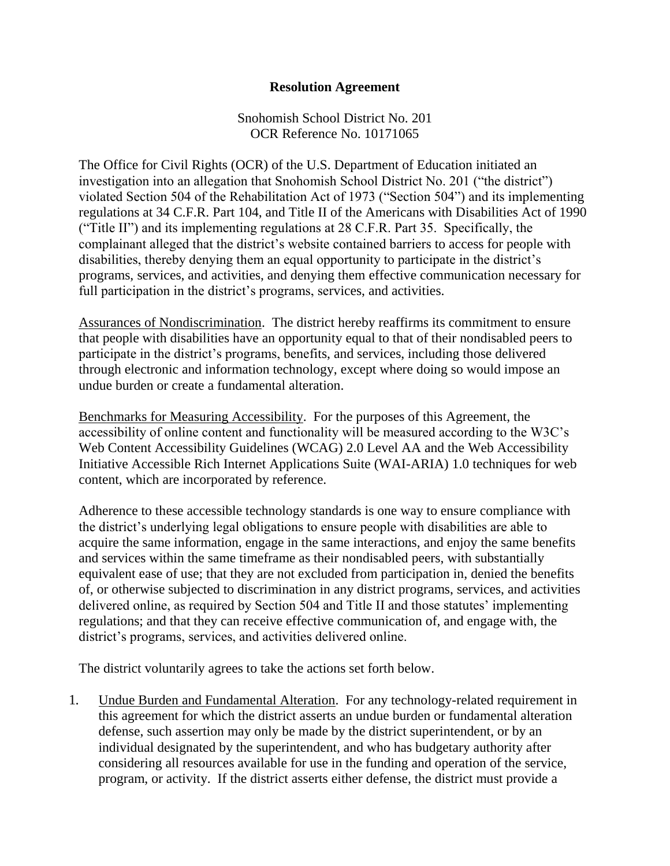## **Resolution Agreement**

Snohomish School District No. 201 OCR Reference No. 10171065

The Office for Civil Rights (OCR) of the U.S. Department of Education initiated an investigation into an allegation that Snohomish School District No. 201 ("the district") violated Section 504 of the Rehabilitation Act of 1973 ("Section 504") and its implementing regulations at 34 C.F.R. Part 104, and Title II of the Americans with Disabilities Act of 1990 ("Title II") and its implementing regulations at 28 C.F.R. Part 35. Specifically, the complainant alleged that the district's website contained barriers to access for people with disabilities, thereby denying them an equal opportunity to participate in the district's programs, services, and activities, and denying them effective communication necessary for full participation in the district's programs, services, and activities.

Assurances of Nondiscrimination. The district hereby reaffirms its commitment to ensure that people with disabilities have an opportunity equal to that of their nondisabled peers to participate in the district's programs, benefits, and services, including those delivered through electronic and information technology, except where doing so would impose an undue burden or create a fundamental alteration.

Benchmarks for Measuring Accessibility. For the purposes of this Agreement, the accessibility of online content and functionality will be measured according to the W3C's Web Content Accessibility Guidelines (WCAG) 2.0 Level AA and the Web Accessibility Initiative Accessible Rich Internet Applications Suite (WAI-ARIA) 1.0 techniques for web content, which are incorporated by reference.

Adherence to these accessible technology standards is one way to ensure compliance with the district's underlying legal obligations to ensure people with disabilities are able to acquire the same information, engage in the same interactions, and enjoy the same benefits and services within the same timeframe as their nondisabled peers, with substantially equivalent ease of use; that they are not excluded from participation in, denied the benefits of, or otherwise subjected to discrimination in any district programs, services, and activities delivered online, as required by Section 504 and Title II and those statutes' implementing regulations; and that they can receive effective communication of, and engage with, the district's programs, services, and activities delivered online.

The district voluntarily agrees to take the actions set forth below.

1. Undue Burden and Fundamental Alteration. For any technology-related requirement in this agreement for which the district asserts an undue burden or fundamental alteration defense, such assertion may only be made by the district superintendent, or by an individual designated by the superintendent, and who has budgetary authority after considering all resources available for use in the funding and operation of the service, program, or activity. If the district asserts either defense, the district must provide a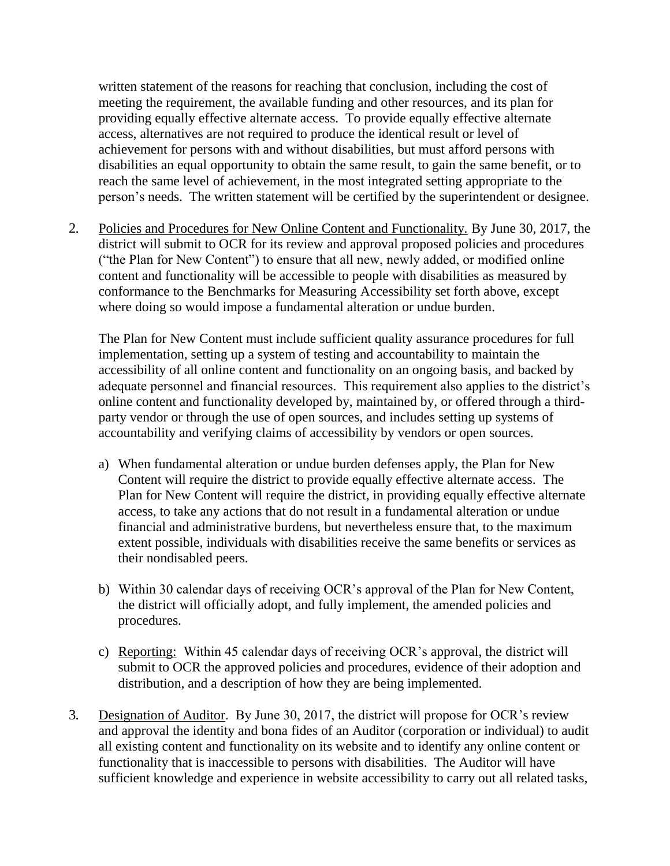written statement of the reasons for reaching that conclusion, including the cost of meeting the requirement, the available funding and other resources, and its plan for providing equally effective alternate access. To provide equally effective alternate access, alternatives are not required to produce the identical result or level of achievement for persons with and without disabilities, but must afford persons with disabilities an equal opportunity to obtain the same result, to gain the same benefit, or to reach the same level of achievement, in the most integrated setting appropriate to the person's needs. The written statement will be certified by the superintendent or designee.

2. Policies and Procedures for New Online Content and Functionality*.* By June 30, 2017, the district will submit to OCR for its review and approval proposed policies and procedures ("the Plan for New Content") to ensure that all new, newly added, or modified online content and functionality will be accessible to people with disabilities as measured by conformance to the Benchmarks for Measuring Accessibility set forth above, except where doing so would impose a fundamental alteration or undue burden.

The Plan for New Content must include sufficient quality assurance procedures for full implementation, setting up a system of testing and accountability to maintain the accessibility of all online content and functionality on an ongoing basis, and backed by adequate personnel and financial resources. This requirement also applies to the district's online content and functionality developed by, maintained by, or offered through a thirdparty vendor or through the use of open sources, and includes setting up systems of accountability and verifying claims of accessibility by vendors or open sources.

- a) When fundamental alteration or undue burden defenses apply, the Plan for New Content will require the district to provide equally effective alternate access. The Plan for New Content will require the district, in providing equally effective alternate access, to take any actions that do not result in a fundamental alteration or undue financial and administrative burdens, but nevertheless ensure that, to the maximum extent possible, individuals with disabilities receive the same benefits or services as their nondisabled peers.
- b) Within 30 calendar days of receiving OCR's approval of the Plan for New Content, the district will officially adopt, and fully implement, the amended policies and procedures.
- c) Reporting: Within 45 calendar days of receiving OCR's approval, the district will submit to OCR the approved policies and procedures, evidence of their adoption and distribution, and a description of how they are being implemented.
- 3. Designation of Auditor. By June 30, 2017, the district will propose for OCR's review and approval the identity and bona fides of an Auditor (corporation or individual) to audit all existing content and functionality on its website and to identify any online content or functionality that is inaccessible to persons with disabilities. The Auditor will have sufficient knowledge and experience in website accessibility to carry out all related tasks,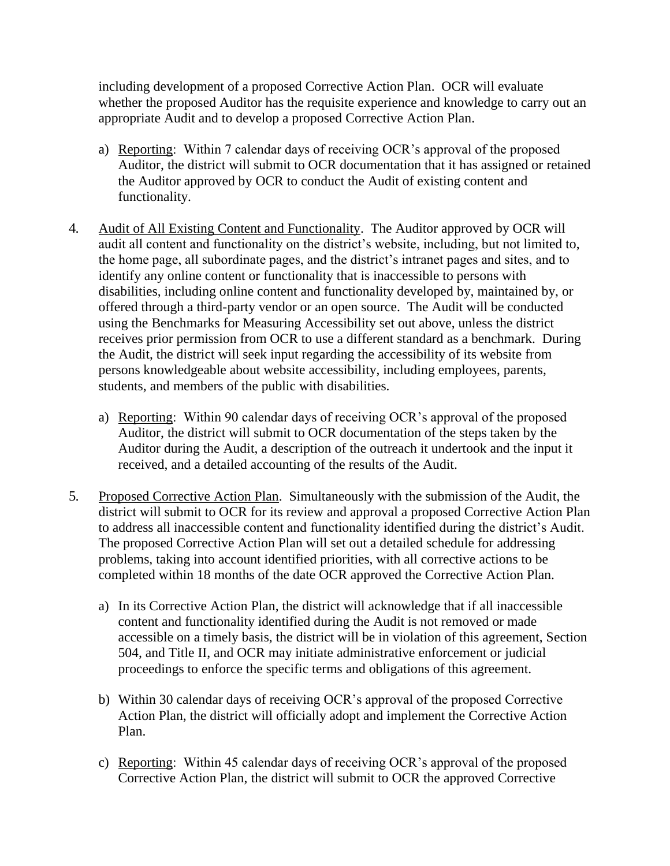including development of a proposed Corrective Action Plan. OCR will evaluate whether the proposed Auditor has the requisite experience and knowledge to carry out an appropriate Audit and to develop a proposed Corrective Action Plan.

- a) Reporting: Within 7 calendar days of receiving OCR's approval of the proposed Auditor, the district will submit to OCR documentation that it has assigned or retained the Auditor approved by OCR to conduct the Audit of existing content and functionality.
- 4. Audit of All Existing Content and Functionality. The Auditor approved by OCR will audit all content and functionality on the district's website, including, but not limited to, the home page, all subordinate pages, and the district's intranet pages and sites, and to identify any online content or functionality that is inaccessible to persons with disabilities, including online content and functionality developed by, maintained by, or offered through a third-party vendor or an open source. The Audit will be conducted using the Benchmarks for Measuring Accessibility set out above, unless the district receives prior permission from OCR to use a different standard as a benchmark. During the Audit, the district will seek input regarding the accessibility of its website from persons knowledgeable about website accessibility, including employees, parents, students, and members of the public with disabilities.
	- a) Reporting: Within 90 calendar days of receiving OCR's approval of the proposed Auditor, the district will submit to OCR documentation of the steps taken by the Auditor during the Audit, a description of the outreach it undertook and the input it received, and a detailed accounting of the results of the Audit.
- 5. Proposed Corrective Action Plan. Simultaneously with the submission of the Audit, the district will submit to OCR for its review and approval a proposed Corrective Action Plan to address all inaccessible content and functionality identified during the district's Audit. The proposed Corrective Action Plan will set out a detailed schedule for addressing problems, taking into account identified priorities, with all corrective actions to be completed within 18 months of the date OCR approved the Corrective Action Plan.
	- a) In its Corrective Action Plan, the district will acknowledge that if all inaccessible content and functionality identified during the Audit is not removed or made accessible on a timely basis, the district will be in violation of this agreement, Section 504, and Title II, and OCR may initiate administrative enforcement or judicial proceedings to enforce the specific terms and obligations of this agreement.
	- b) Within 30 calendar days of receiving OCR's approval of the proposed Corrective Action Plan, the district will officially adopt and implement the Corrective Action Plan.
	- c) Reporting: Within 45 calendar days of receiving OCR's approval of the proposed Corrective Action Plan, the district will submit to OCR the approved Corrective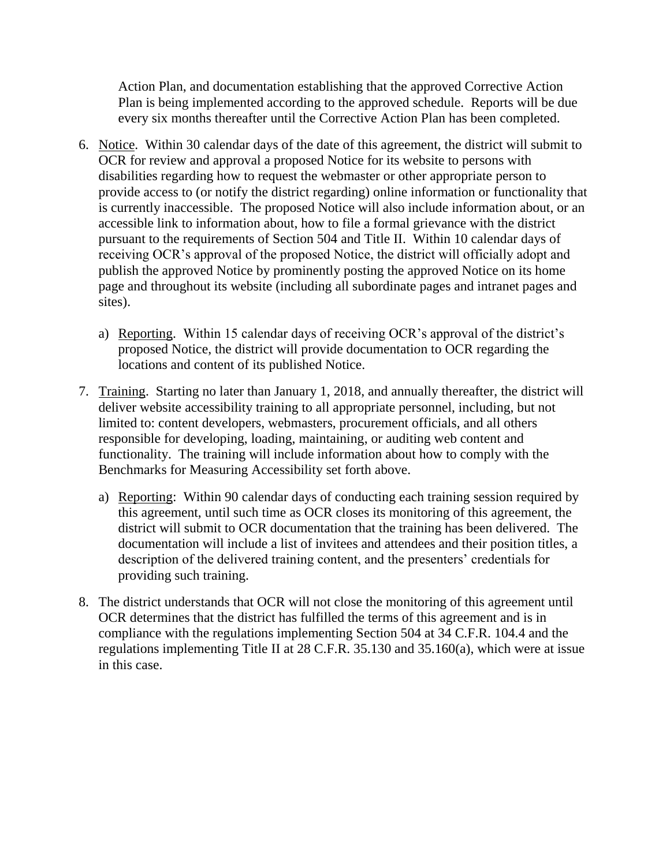Action Plan, and documentation establishing that the approved Corrective Action Plan is being implemented according to the approved schedule. Reports will be due every six months thereafter until the Corrective Action Plan has been completed.

- 6. Notice. Within 30 calendar days of the date of this agreement, the district will submit to OCR for review and approval a proposed Notice for its website to persons with disabilities regarding how to request the webmaster or other appropriate person to provide access to (or notify the district regarding) online information or functionality that is currently inaccessible. The proposed Notice will also include information about, or an accessible link to information about, how to file a formal grievance with the district pursuant to the requirements of Section 504 and Title II. Within 10 calendar days of receiving OCR's approval of the proposed Notice, the district will officially adopt and publish the approved Notice by prominently posting the approved Notice on its home page and throughout its website (including all subordinate pages and intranet pages and sites).
	- a) Reporting. Within 15 calendar days of receiving OCR's approval of the district's proposed Notice, the district will provide documentation to OCR regarding the locations and content of its published Notice.
- 7. Training. Starting no later than January 1, 2018, and annually thereafter, the district will deliver website accessibility training to all appropriate personnel, including, but not limited to: content developers, webmasters, procurement officials, and all others responsible for developing, loading, maintaining, or auditing web content and functionality. The training will include information about how to comply with the Benchmarks for Measuring Accessibility set forth above.
	- a) Reporting: Within 90 calendar days of conducting each training session required by this agreement, until such time as OCR closes its monitoring of this agreement, the district will submit to OCR documentation that the training has been delivered. The documentation will include a list of invitees and attendees and their position titles, a description of the delivered training content, and the presenters' credentials for providing such training.
- 8. The district understands that OCR will not close the monitoring of this agreement until OCR determines that the district has fulfilled the terms of this agreement and is in compliance with the regulations implementing Section 504 at 34 C.F.R. 104.4 and the regulations implementing Title II at 28 C.F.R. 35.130 and 35.160(a), which were at issue in this case.